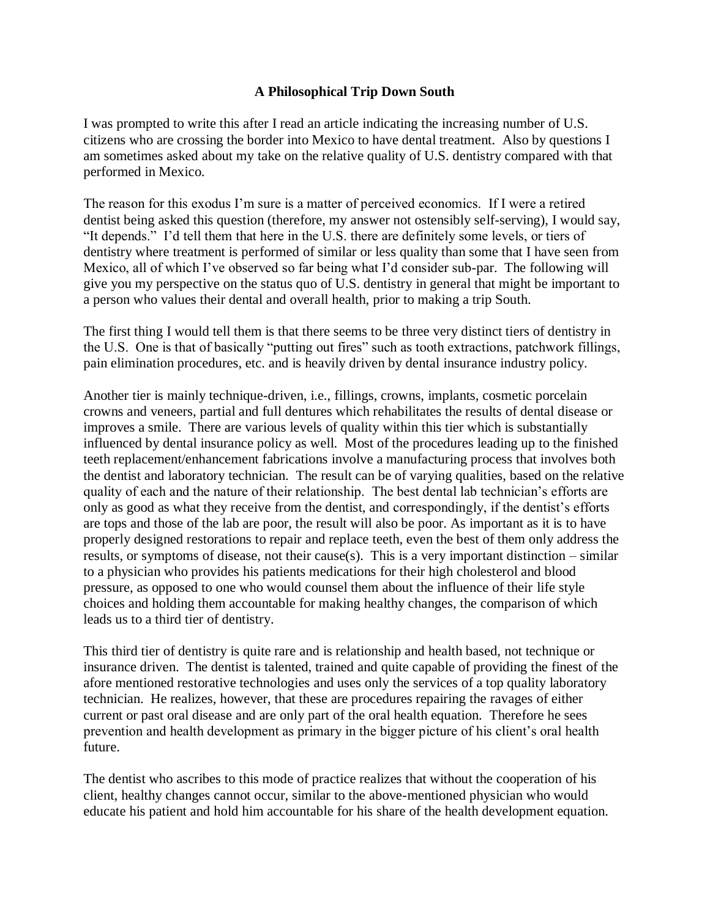## **A Philosophical Trip Down South**

I was prompted to write this after I read an article indicating the increasing number of U.S. citizens who are crossing the border into Mexico to have dental treatment. Also by questions I am sometimes asked about my take on the relative quality of U.S. dentistry compared with that performed in Mexico.

The reason for this exodus I'm sure is a matter of perceived economics. If I were a retired dentist being asked this question (therefore, my answer not ostensibly self-serving), I would say, "It depends." I'd tell them that here in the U.S. there are definitely some levels, or tiers of dentistry where treatment is performed of similar or less quality than some that I have seen from Mexico, all of which I've observed so far being what I'd consider sub-par. The following will give you my perspective on the status quo of U.S. dentistry in general that might be important to a person who values their dental and overall health, prior to making a trip South.

The first thing I would tell them is that there seems to be three very distinct tiers of dentistry in the U.S. One is that of basically "putting out fires" such as tooth extractions, patchwork fillings, pain elimination procedures, etc. and is heavily driven by dental insurance industry policy.

Another tier is mainly technique-driven, i.e., fillings, crowns, implants, cosmetic porcelain crowns and veneers, partial and full dentures which rehabilitates the results of dental disease or improves a smile. There are various levels of quality within this tier which is substantially influenced by dental insurance policy as well. Most of the procedures leading up to the finished teeth replacement/enhancement fabrications involve a manufacturing process that involves both the dentist and laboratory technician. The result can be of varying qualities, based on the relative quality of each and the nature of their relationship. The best dental lab technician's efforts are only as good as what they receive from the dentist, and correspondingly, if the dentist's efforts are tops and those of the lab are poor, the result will also be poor. As important as it is to have properly designed restorations to repair and replace teeth, even the best of them only address the results, or symptoms of disease, not their cause(s). This is a very important distinction – similar to a physician who provides his patients medications for their high cholesterol and blood pressure, as opposed to one who would counsel them about the influence of their life style choices and holding them accountable for making healthy changes, the comparison of which leads us to a third tier of dentistry.

This third tier of dentistry is quite rare and is relationship and health based, not technique or insurance driven. The dentist is talented, trained and quite capable of providing the finest of the afore mentioned restorative technologies and uses only the services of a top quality laboratory technician. He realizes, however, that these are procedures repairing the ravages of either current or past oral disease and are only part of the oral health equation. Therefore he sees prevention and health development as primary in the bigger picture of his client's oral health future.

The dentist who ascribes to this mode of practice realizes that without the cooperation of his client, healthy changes cannot occur, similar to the above-mentioned physician who would educate his patient and hold him accountable for his share of the health development equation.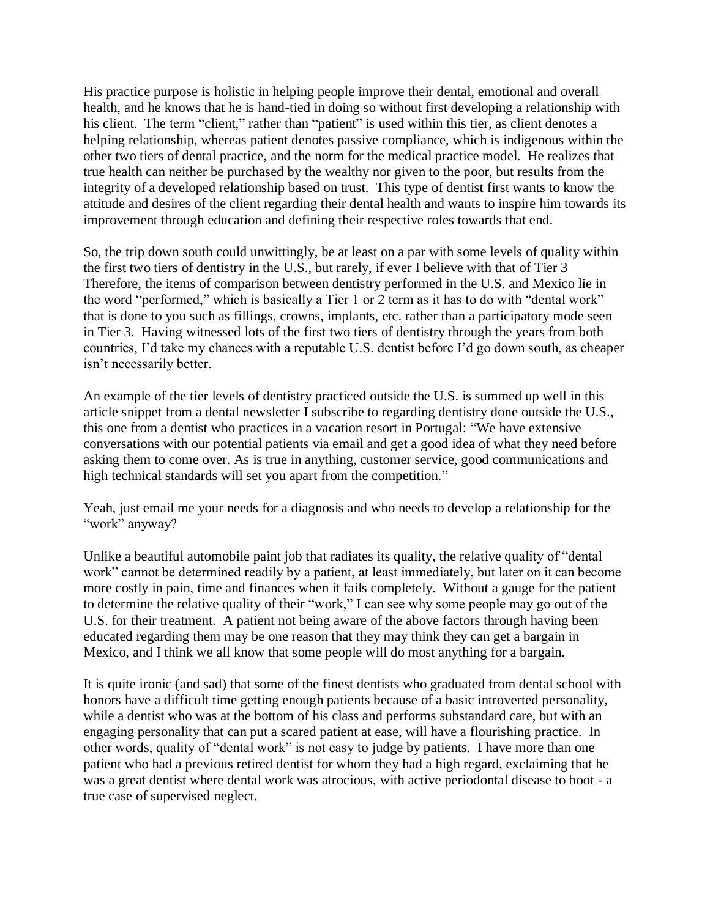His practice purpose is holistic in helping people improve their dental, emotional and overall health, and he knows that he is hand-tied in doing so without first developing a relationship with his client. The term "client," rather than "patient" is used within this tier, as client denotes a helping relationship, whereas patient denotes passive compliance, which is indigenous within the other two tiers of dental practice, and the norm for the medical practice model. He realizes that true health can neither be purchased by the wealthy nor given to the poor, but results from the integrity of a developed relationship based on trust. This type of dentist first wants to know the attitude and desires of the client regarding their dental health and wants to inspire him towards its improvement through education and defining their respective roles towards that end.

So, the trip down south could unwittingly, be at least on a par with some levels of quality within the first two tiers of dentistry in the U.S., but rarely, if ever I believe with that of Tier 3 Therefore, the items of comparison between dentistry performed in the U.S. and Mexico lie in the word "performed," which is basically a Tier 1 or 2 term as it has to do with "dental work" that is done to you such as fillings, crowns, implants, etc. rather than a participatory mode seen in Tier 3. Having witnessed lots of the first two tiers of dentistry through the years from both countries, I'd take my chances with a reputable U.S. dentist before I'd go down south, as cheaper isn't necessarily better.

An example of the tier levels of dentistry practiced outside the U.S. is summed up well in this article snippet from a dental newsletter I subscribe to regarding dentistry done outside the U.S., this one from a dentist who practices in a vacation resort in Portugal: "We have extensive conversations with our potential patients via email and get a good idea of what they need before asking them to come over. As is true in anything, customer service, good communications and high technical standards will set you apart from the competition."

Yeah, just email me your needs for a diagnosis and who needs to develop a relationship for the "work" anyway?

Unlike a beautiful automobile paint job that radiates its quality, the relative quality of "dental work" cannot be determined readily by a patient, at least immediately, but later on it can become more costly in pain, time and finances when it fails completely. Without a gauge for the patient to determine the relative quality of their "work," I can see why some people may go out of the U.S. for their treatment. A patient not being aware of the above factors through having been educated regarding them may be one reason that they may think they can get a bargain in Mexico, and I think we all know that some people will do most anything for a bargain.

It is quite ironic (and sad) that some of the finest dentists who graduated from dental school with honors have a difficult time getting enough patients because of a basic introverted personality, while a dentist who was at the bottom of his class and performs substandard care, but with an engaging personality that can put a scared patient at ease, will have a flourishing practice. In other words, quality of "dental work" is not easy to judge by patients. I have more than one patient who had a previous retired dentist for whom they had a high regard, exclaiming that he was a great dentist where dental work was atrocious, with active periodontal disease to boot - a true case of supervised neglect.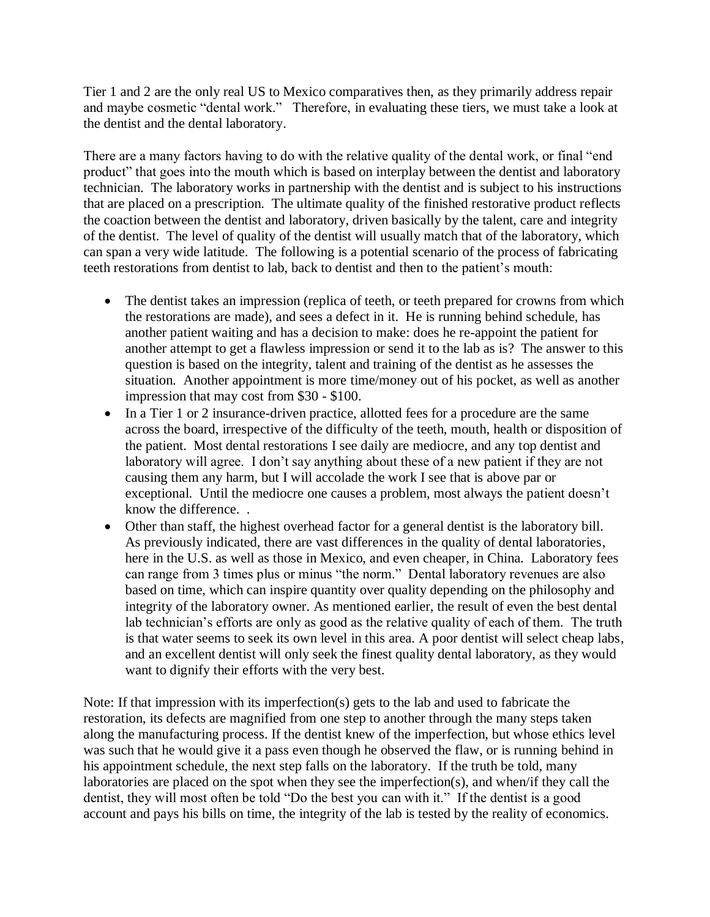Tier 1 and 2 are the only real US to Mexico comparatives then, as they primarily address repair and maybe cosmetic "dental work." Therefore, in evaluating these tiers, we must take a look at the dentist and the dental laboratory.

There are a many factors having to do with the relative quality of the dental work, or final "end product" that goes into the mouth which is based on interplay between the dentist and laboratory technician. The laboratory works in partnership with the dentist and is subject to his instructions that are placed on a prescription. The ultimate quality of the finished restorative product reflects the coaction between the dentist and laboratory, driven basically by the talent, care and integrity of the dentist. The level of quality of the dentist will usually match that of the laboratory, which can span a very wide latitude. The following is a potential scenario of the process of fabricating teeth restorations from dentist to lab, back to dentist and then to the patient's mouth:

- The dentist takes an impression (replica of teeth, or teeth prepared for crowns from which the restorations are made), and sees a defect in it. He is running behind schedule, has another patient waiting and has a decision to make: does he re-appoint the patient for another attempt to get a flawless impression or send it to the lab as is? The answer to this question is based on the integrity, talent and training of the dentist as he assesses the situation. Another appointment is more time/money out of his pocket, as well as another impression that may cost from \$30 - \$100.
- In a Tier 1 or 2 insurance-driven practice, allotted fees for a procedure are the same across the board, irrespective of the difficulty of the teeth, mouth, health or disposition of the patient. Most dental restorations I see daily are mediocre, and any top dentist and laboratory will agree. I don't say anything about these of a new patient if they are not causing them any harm, but I will accolade the work I see that is above par or exceptional. Until the mediocre one causes a problem, most always the patient doesn't know the difference. .
- Other than staff, the highest overhead factor for a general dentist is the laboratory bill. As previously indicated, there are vast differences in the quality of dental laboratories, here in the U.S. as well as those in Mexico, and even cheaper, in China. Laboratory fees can range from 3 times plus or minus "the norm." Dental laboratory revenues are also based on time, which can inspire quantity over quality depending on the philosophy and integrity of the laboratory owner. As mentioned earlier, the result of even the best dental lab technician's efforts are only as good as the relative quality of each of them. The truth is that water seems to seek its own level in this area. A poor dentist will select cheap labs, and an excellent dentist will only seek the finest quality dental laboratory, as they would want to dignify their efforts with the very best.

Note: If that impression with its imperfection(s) gets to the lab and used to fabricate the restoration, its defects are magnified from one step to another through the many steps taken along the manufacturing process. If the dentist knew of the imperfection, but whose ethics level was such that he would give it a pass even though he observed the flaw, or is running behind in his appointment schedule, the next step falls on the laboratory. If the truth be told, many laboratories are placed on the spot when they see the imperfection(s), and when/if they call the dentist, they will most often be told "Do the best you can with it." If the dentist is a good account and pays his bills on time, the integrity of the lab is tested by the reality of economics.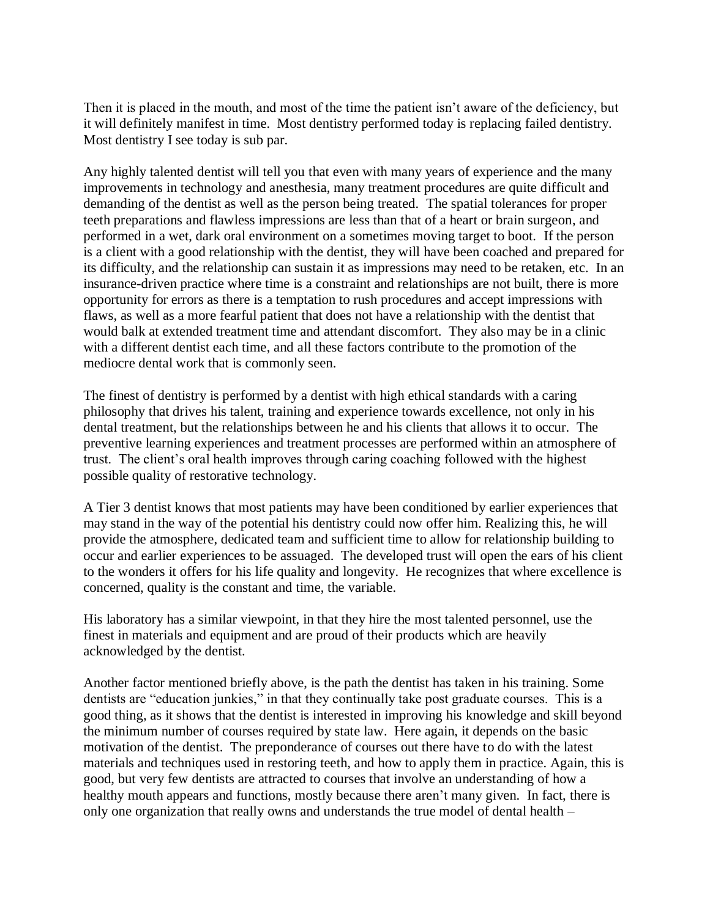Then it is placed in the mouth, and most of the time the patient isn't aware of the deficiency, but it will definitely manifest in time. Most dentistry performed today is replacing failed dentistry. Most dentistry I see today is sub par.

Any highly talented dentist will tell you that even with many years of experience and the many improvements in technology and anesthesia, many treatment procedures are quite difficult and demanding of the dentist as well as the person being treated. The spatial tolerances for proper teeth preparations and flawless impressions are less than that of a heart or brain surgeon, and performed in a wet, dark oral environment on a sometimes moving target to boot. If the person is a client with a good relationship with the dentist, they will have been coached and prepared for its difficulty, and the relationship can sustain it as impressions may need to be retaken, etc. In an insurance-driven practice where time is a constraint and relationships are not built, there is more opportunity for errors as there is a temptation to rush procedures and accept impressions with flaws, as well as a more fearful patient that does not have a relationship with the dentist that would balk at extended treatment time and attendant discomfort. They also may be in a clinic with a different dentist each time, and all these factors contribute to the promotion of the mediocre dental work that is commonly seen.

The finest of dentistry is performed by a dentist with high ethical standards with a caring philosophy that drives his talent, training and experience towards excellence, not only in his dental treatment, but the relationships between he and his clients that allows it to occur. The preventive learning experiences and treatment processes are performed within an atmosphere of trust. The client's oral health improves through caring coaching followed with the highest possible quality of restorative technology.

A Tier 3 dentist knows that most patients may have been conditioned by earlier experiences that may stand in the way of the potential his dentistry could now offer him. Realizing this, he will provide the atmosphere, dedicated team and sufficient time to allow for relationship building to occur and earlier experiences to be assuaged. The developed trust will open the ears of his client to the wonders it offers for his life quality and longevity. He recognizes that where excellence is concerned, quality is the constant and time, the variable.

His laboratory has a similar viewpoint, in that they hire the most talented personnel, use the finest in materials and equipment and are proud of their products which are heavily acknowledged by the dentist.

Another factor mentioned briefly above, is the path the dentist has taken in his training. Some dentists are "education junkies," in that they continually take post graduate courses. This is a good thing, as it shows that the dentist is interested in improving his knowledge and skill beyond the minimum number of courses required by state law. Here again, it depends on the basic motivation of the dentist. The preponderance of courses out there have to do with the latest materials and techniques used in restoring teeth, and how to apply them in practice. Again, this is good, but very few dentists are attracted to courses that involve an understanding of how a healthy mouth appears and functions, mostly because there aren't many given. In fact, there is only one organization that really owns and understands the true model of dental health –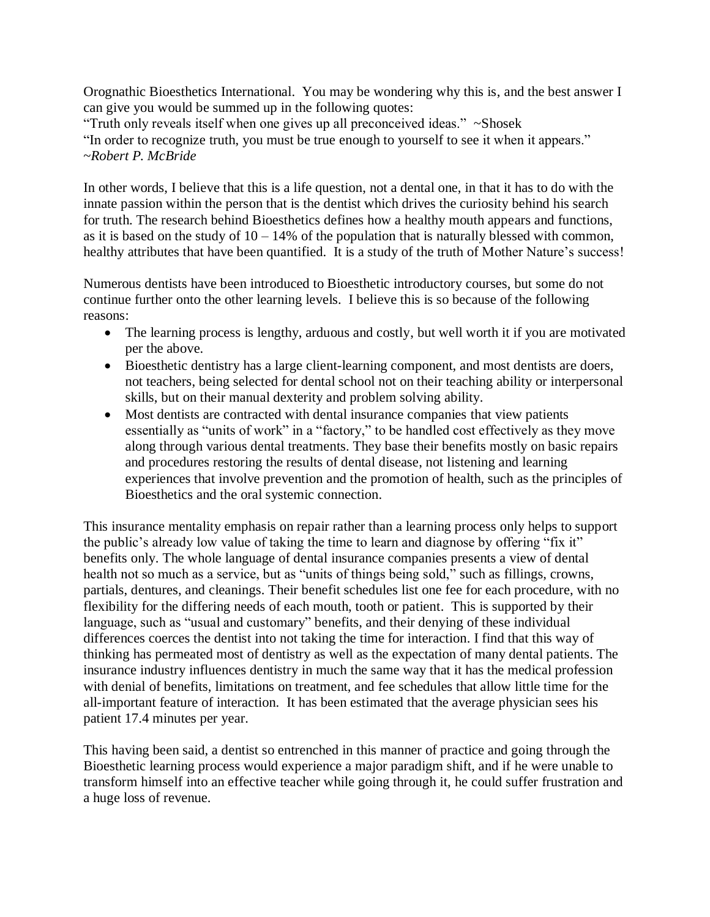Orognathic Bioesthetics International. You may be wondering why this is, and the best answer I can give you would be summed up in the following quotes:

"Truth only reveals itself when one gives up all preconceived ideas." ~Shosek "In order to recognize truth, you must be true enough to yourself to see it when it appears." ~*Robert P. McBride*

In other words, I believe that this is a life question, not a dental one, in that it has to do with the innate passion within the person that is the dentist which drives the curiosity behind his search for truth. The research behind Bioesthetics defines how a healthy mouth appears and functions, as it is based on the study of  $10 - 14\%$  of the population that is naturally blessed with common, healthy attributes that have been quantified. It is a study of the truth of Mother Nature's success!

Numerous dentists have been introduced to Bioesthetic introductory courses, but some do not continue further onto the other learning levels. I believe this is so because of the following reasons:

- The learning process is lengthy, arduous and costly, but well worth it if you are motivated per the above.
- Bioesthetic dentistry has a large client-learning component, and most dentists are doers, not teachers, being selected for dental school not on their teaching ability or interpersonal skills, but on their manual dexterity and problem solving ability.
- Most dentists are contracted with dental insurance companies that view patients essentially as "units of work" in a "factory," to be handled cost effectively as they move along through various dental treatments. They base their benefits mostly on basic repairs and procedures restoring the results of dental disease, not listening and learning experiences that involve prevention and the promotion of health, such as the principles of Bioesthetics and the oral systemic connection.

This insurance mentality emphasis on repair rather than a learning process only helps to support the public's already low value of taking the time to learn and diagnose by offering "fix it" benefits only. The whole language of dental insurance companies presents a view of dental health not so much as a service, but as "units of things being sold," such as fillings, crowns, partials, dentures, and cleanings. Their benefit schedules list one fee for each procedure, with no flexibility for the differing needs of each mouth, tooth or patient. This is supported by their language, such as "usual and customary" benefits, and their denying of these individual differences coerces the dentist into not taking the time for interaction. I find that this way of thinking has permeated most of dentistry as well as the expectation of many dental patients. The insurance industry influences dentistry in much the same way that it has the medical profession with denial of benefits, limitations on treatment, and fee schedules that allow little time for the all-important feature of interaction. It has been estimated that the average physician sees his patient 17.4 minutes per year.

This having been said, a dentist so entrenched in this manner of practice and going through the Bioesthetic learning process would experience a major paradigm shift, and if he were unable to transform himself into an effective teacher while going through it, he could suffer frustration and a huge loss of revenue.